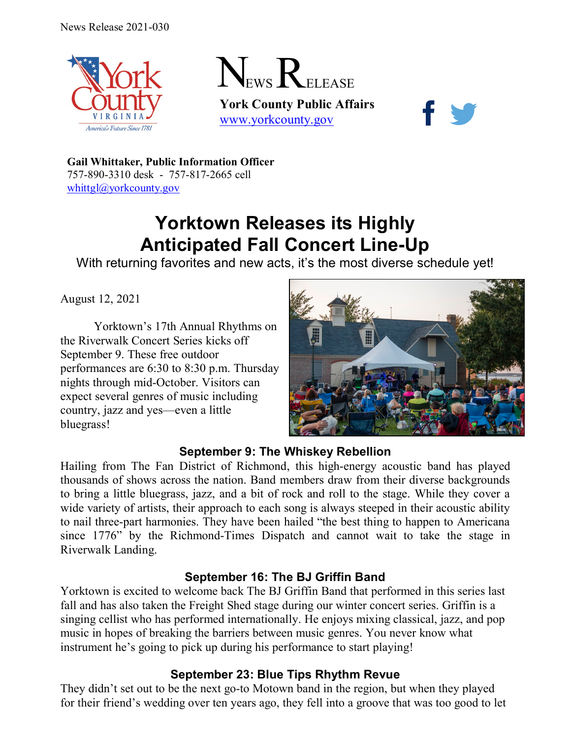



**York County Public Affairs** [www.yorkcounty.gov](http://www.yorkcounty.gov/)



**Gail Whittaker, Public Information Officer** 757-890-3310 desk - 757-817-2665 cell [whittgl@yorkcounty.gov](mailto:whittgl@yorkcounty.gov)

# **Yorktown Releases its Highly Anticipated Fall Concert Line-Up**

With returning favorites and new acts, it's the most diverse schedule yet!

August 12, 2021

Yorktown's 17th Annual Rhythms on the Riverwalk Concert Series kicks off September 9. These free outdoor performances are 6:30 to 8:30 p.m. Thursday nights through mid-October. Visitors can expect several genres of music including country, jazz and yes—even a little bluegrass!



## **September 9: The Whiskey Rebellion**

Hailing from The Fan District of Richmond, this high-energy acoustic band has played thousands of shows across the nation. Band members draw from their diverse backgrounds to bring a little bluegrass, jazz, and a bit of rock and roll to the stage. While they cover a wide variety of artists, their approach to each song is always steeped in their acoustic ability to nail three-part harmonies. They have been hailed "the best thing to happen to Americana since 1776" by the Richmond-Times Dispatch and cannot wait to take the stage in Riverwalk Landing.

#### **September 16: The BJ Griffin Band**

Yorktown is excited to welcome back The BJ Griffin Band that performed in this series last fall and has also taken the Freight Shed stage during our winter concert series. Griffin is a singing cellist who has performed internationally. He enjoys mixing classical, jazz, and pop music in hopes of breaking the barriers between music genres. You never know what instrument he's going to pick up during his performance to start playing!

## **September 23: Blue Tips Rhythm Revue**

They didn't set out to be the next go-to Motown band in the region, but when they played for their friend's wedding over ten years ago, they fell into a groove that was too good to let